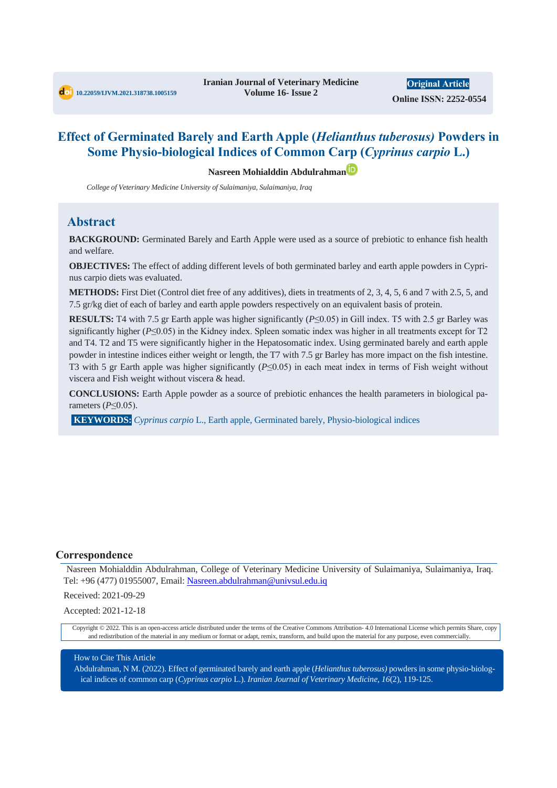**Original Article Online ISSN: 2252-0554**

# **Effect of Germinated Barely and Earth Apple (***Helianthus tuberosus)* **Powders in Some Physio-biological Indices of Common Carp (***Cyprinus carpio* **L.)**

**Nasreen Mohialddin Abdulrahman**

*College of Veterinary Medicine University of Sulaimaniya, Sulaimaniya, Iraq*

## **Abstract**

**BACKGROUND:** Germinated Barely and Earth Apple were used as a source of prebiotic to enhance fish health and welfare.

**OBJECTIVES:** The effect of adding different levels of both germinated barley and earth apple powders in Cyprinus carpio diets was evaluated.

**METHODS:** First Diet (Control diet free of any additives), diets in treatments of 2, 3, 4, 5, 6 and 7 with 2.5, 5, and 7.5 gr/kg diet of each of barley and earth apple powders respectively on an equivalent basis of protein.

**RESULTS:** T4 with 7.5 gr Earth apple was higher significantly (*P*≤0.05) in Gill index. T5 with 2.5 gr Barley was significantly higher (*P*≤0.05) in the Kidney index. Spleen somatic index was higher in all treatments except for T2 and T4. T2 and T5 were significantly higher in the Hepatosomatic index. Using germinated barely and earth apple powder in intestine indices either weight or length, the T7 with 7.5 gr Barley has more impact on the fish intestine. T3 with 5 gr Earth apple was higher significantly (*P*≤0.05) in each meat index in terms of Fish weight without viscera and Fish weight without viscera & head.

**CONCLUSIONS:** Earth Apple powder as a source of prebiotic enhances the health parameters in biological parameters (*P*≤0.05).

**KEYWORDS:** *Cyprinus carpio* L., Earth apple, Germinated barely, Physio-biological indices

#### **Correspondence**

Nasreen Mohialddin Abdulrahman, College of Veterinary Medicine University of Sulaimaniya, Sulaimaniya, Iraq. Tel: +96 (477) 01955007, Email: Nasreen.abdulrahman@univsul.edu.iq

Received: 2021-09-29

Accepted: 2021-12-18

Copyright © 2022. This is an open-access article distributed under the terms of the Creative Commons Attribution- 4.0 International License which permits Share, copy and redistribution of the material in any medium or format or adapt, remix, transform, and build upon the material for any purpose, even commercially.

#### How to Cite This Article

Abdulrahman, N M. (2022). Effect of germinated barely and earth apple (*Helianthus tuberosus)* powders in some physio-biological indices of common carp (*Cyprinus carpio* L.). *Iranian Journal of Veterinary Medicine, 16*(2), 119-125.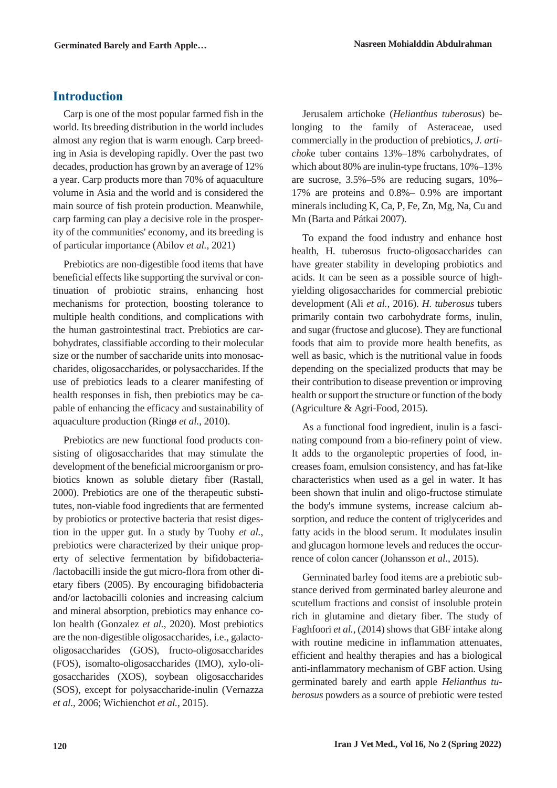# **Introduction**

Carp is one of the most popular farmed fish in the world. Its breeding distribution in the world includes almost any region that is warm enough. Carp breeding in Asia is developing rapidly. Over the past two decades, production has grown by an average of 12% a year. Carp products more than 70% of aquaculture volume in Asia and the world and is considered the main source of fish protein production. Meanwhile, carp farming can play a decisive role in the prosperity of the communities' economy, and its breeding is of particular importance (Abilov *et al.*, 2021)

Prebiotics are non-digestible food items that have beneficial effects like supporting the survival or continuation of probiotic strains, enhancing host mechanisms for protection, boosting tolerance to multiple health conditions, and complications with the human gastrointestinal tract. Prebiotics are carbohydrates, classifiable according to their molecular size or the number of saccharide units into monosaccharides, oligosaccharides, or polysaccharides. If the use of prebiotics leads to a clearer manifesting of health responses in fish, then prebiotics may be capable of enhancing the efficacy and sustainability of aquaculture production (Ringø *et al.*, 2010).

Prebiotics are new functional food products consisting of oligosaccharides that may stimulate the development of the beneficial microorganism or probiotics known as soluble dietary fiber (Rastall, 2000). Prebiotics are one of the therapeutic substitutes, non-viable food ingredients that are fermented by probiotics or protective bacteria that resist digestion in the upper gut. In a study by Tuohy *et al.*, prebiotics were characterized by their unique property of selective fermentation by bifidobacteria- /lactobacilli inside the gut micro-flora from other dietary fibers (2005). By encouraging bifidobacteria and/or lactobacilli colonies and increasing calcium and mineral absorption, prebiotics may enhance colon health (Gonzalez *et al.*, 2020). Most prebiotics are the non-digestible oligosaccharides, i.e., galactooligosaccharides (GOS), fructo-oligosaccharides (FOS), isomalto-oligosaccharides (IMO), xylo-oligosaccharides (XOS), soybean oligosaccharides (SOS), except for polysaccharide-inulin (Vernazza *et al.*, 2006; Wichienchot *et al.*, 2015).

Jerusalem artichoke (*Helianthus tuberosus*) belonging to the family of Asteraceae, used commercially in the production of prebiotics, *J. artichok*e tuber contains 13%–18% carbohydrates, of which about 80% are inulin-type fructans, 10%–13% are sucrose, 3.5%–5% are reducing sugars, 10%– 17% are proteins and 0.8%– 0.9% are important minerals including K, Ca, P, Fe, Zn, Mg, Na, Cu and Mn (Barta and Pátkai 2007).

To expand the food industry and enhance host health, H. tuberosus fructo-oligosaccharides can have greater stability in developing probiotics and acids. It can be seen as a possible source of highyielding oligosaccharides for commercial prebiotic development (Ali *et al.*, 2016). *H. tuberosus* tubers primarily contain two carbohydrate forms, inulin, and sugar (fructose and glucose). They are functional foods that aim to provide more health benefits, as well as basic, which is the nutritional value in foods depending on the specialized products that may be their contribution to disease prevention or improving health or support the structure or function of the body (Agriculture & Agri-Food, 2015).

As a functional food ingredient, inulin is a fascinating compound from a bio-refinery point of view. It adds to the organoleptic properties of food, increases foam, emulsion consistency, and has fat-like characteristics when used as a gel in water. It has been shown that inulin and oligo-fructose stimulate the body's immune systems, increase calcium absorption, and reduce the content of triglycerides and fatty acids in the blood serum. It modulates insulin and glucagon hormone levels and reduces the occurrence of colon cancer (Johansson *et al.*, 2015).

Germinated barley food items are a prebiotic substance derived from germinated barley aleurone and scutellum fractions and consist of insoluble protein rich in glutamine and dietary fiber. The study of Faghfoori *et al.*, (2014) shows that GBF intake along with routine medicine in inflammation attenuates, efficient and healthy therapies and has a biological anti-inflammatory mechanism of GBF action. Using germinated barely and earth apple *Helianthus tuberosus* powders as a source of prebiotic were tested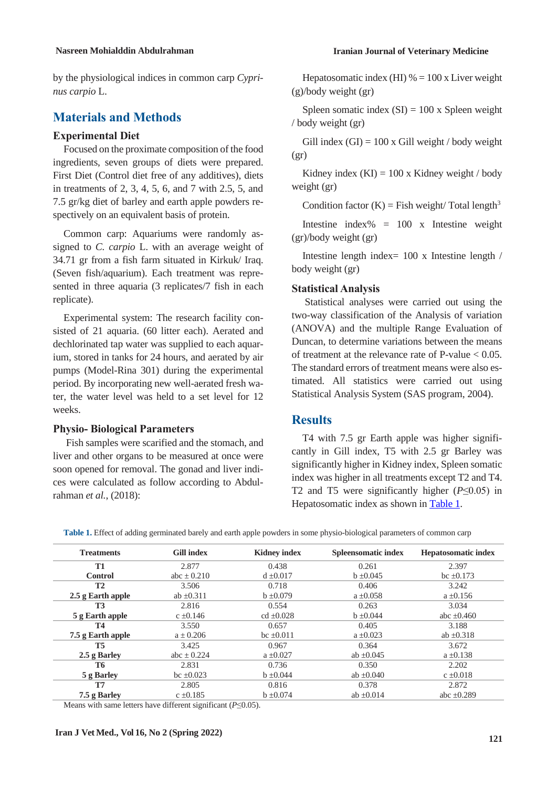by the physiological indices in common carp *Cyprinus carpio* L.

# **Materials and Methods**

### **Experimental Diet**

Focused on the proximate composition of the food ingredients, seven groups of diets were prepared. First Diet (Control diet free of any additives), diets in treatments of 2, 3, 4, 5, 6, and 7 with 2.5, 5, and 7.5 gr/kg diet of barley and earth apple powders respectively on an equivalent basis of protein.

Common carp: Aquariums were randomly assigned to *C. carpio* L. with an average weight of 34.71 gr from a fish farm situated in Kirkuk/ Iraq. (Seven fish/aquarium). Each treatment was represented in three aquaria (3 replicates/7 fish in each replicate).

Experimental system: The research facility consisted of 21 aquaria. (60 litter each). Aerated and dechlorinated tap water was supplied to each aquarium, stored in tanks for 24 hours, and aerated by air pumps (Model-Rina 301) during the experimental period. By incorporating new well-aerated fresh water, the water level was held to a set level for 12 weeks.

### **Physio- Biological Parameters**

Fish samples were scarified and the stomach, and liver and other organs to be measured at once were soon opened for removal. The gonad and liver indices were calculated as follow according to Abdulrahman *et al.*, (2018):

Hepatosomatic index (HI)  $% = 100$  x Liver weight (g)/body weight (gr)

Spleen somatic index  $(SI) = 100$  x Spleen weight / body weight (gr)

Gill index  $(GI) = 100$  x Gill weight / body weight (gr)

Kidney index  $(KI) = 100$  x Kidney weight / body weight (gr)

Condition factor  $(K)$  = Fish weight/ Total length<sup>3</sup>

Intestine index% =  $100 \times$  Intestine weight (gr)/body weight (gr)

Intestine length index= 100 x Intestine length / body weight (gr)

#### **Statistical Analysis**

Statistical analyses were carried out using the two-way classification of the Analysis of variation (ANOVA) and the multiple Range Evaluation of Duncan, to determine variations between the means of treatment at the relevance rate of P-value  $< 0.05$ . The standard errors of treatment means were also estimated. All statistics were carried out using Statistical Analysis System (SAS program, 2004).

## **Results**

T4 with 7.5 gr Earth apple was higher significantly in Gill index, T5 with 2.5 gr Barley was significantly higher in Kidney index, Spleen somatic index was higher in all treatments except T2 and T4. T2 and T5 were significantly higher (*P*≤0.05) in Hepatosomatic index as shown in [Table 1.](#page-2-0)

| <b>Treatments</b>   | <b>Gill index</b> | <b>Kidney index</b> | <b>Spleensomatic index</b> | <b>Hepatosomatic index</b> |
|---------------------|-------------------|---------------------|----------------------------|----------------------------|
| <b>T1</b>           | 2.877             | 0.438               | 0.261                      | 2.397                      |
| <b>Control</b>      | abc $\pm$ 0.210   | $d \pm 0.017$       | $b \pm 0.045$              | bc $\pm 0.173$             |
| <b>T2</b>           | 3.506             | 0.718               | 0.406                      | 3.242                      |
| $2.5$ g Earth apple | ab $\pm 0.311$    | $b \pm 0.079$       | $a \pm 0.058$              | $a \pm 0.156$              |
| T3                  | 2.816             | 0.554               | 0.263                      | 3.034                      |
| 5 g Earth apple     | $c \pm 0.146$     | $cd \pm 0.028$      | $b \pm 0.044$              | abc $\pm 0.460$            |
| <b>T4</b>           | 3.550             | 0.657               | 0.405                      | 3.188                      |
| 7.5 g Earth apple   | $a \pm 0.206$     | $bc \pm 0.011$      | $a \pm 0.023$              | ab $\pm 0.318$             |
| <b>T5</b>           | 3.425             | 0.967               | 0.364                      | 3.672                      |
| 2.5 g Barley        | abc $\pm$ 0.224   | $a \pm 0.027$       | ab $\pm 0.045$             | $a \pm 0.138$              |
| T6                  | 2.831             | 0.736               | 0.350                      | 2.202                      |
| 5 g Barley          | $bc \pm 0.023$    | $b \pm 0.044$       | ab $\pm 0.040$             | $c \pm 0.018$              |
| T7                  | 2.805             | 0.816               | 0.378                      | 2.872                      |
| 7.5 g Barley        | $c = 0.185$       | $b = 0.074$         | ab $\pm 0.014$             | abc $\pm 0.289$            |

<span id="page-2-0"></span>**Table 1.** Effect of adding germinated barely and earth apple powders in some physio-biological parameters of common carp

Means with same letters have different significant  $(P \le 0.05)$ .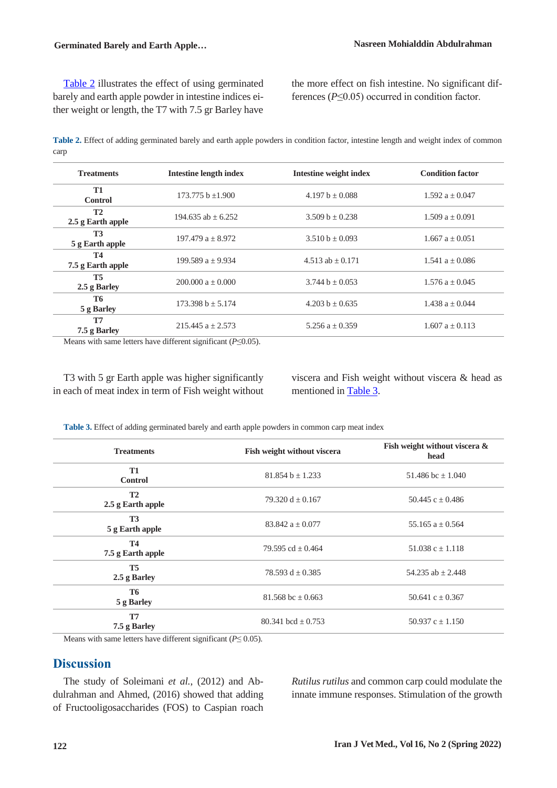### **Germinated Barely and Earth Apple… Nasreen Mohialddin Abdulrahman**

[Table 2](#page-3-0) illustrates the effect of using germinated barely and earth apple powder in intestine indices either weight or length, the T7 with 7.5 gr Barley have

the more effect on fish intestine. No significant differences (*P*≤0.05) occurred in condition factor.

<span id="page-3-0"></span>**Table 2.** Effect of adding germinated barely and earth apple powders in condition factor, intestine length and weight index of common carp

| <b>Treatments</b>              | <b>Intestine length index</b> | Intestine weight index | <b>Condition factor</b> |
|--------------------------------|-------------------------------|------------------------|-------------------------|
| <b>T1</b><br><b>Control</b>    | 173.775 b $\pm$ 1.900         | 4.197 b $\pm$ 0.088    | 1.592 $a \pm 0.047$     |
| T2<br>2.5 g Earth apple        | $194.635$ ab $+6.252$         | 3.509 b $\pm$ 0.238    | $1.509a + 0.091$        |
| <b>T3</b><br>5 g Earth apple   | $197.479a + 8.972$            | $3.510 b \pm 0.093$    | 1.667 $a \pm 0.051$     |
| <b>T4</b><br>7.5 g Earth apple | $199.589a + 9.934$            | $4.513$ ab $+ 0.171$   | $1.541 a + 0.086$       |
| <b>T5</b><br>2.5 g Barley      | $200.000 a \pm 0.000$         | 3.744 b $\pm$ 0.053    | $1.576 a \pm 0.045$     |
| <b>T6</b><br>5 g Barley        | $173.398 b \pm 5.174$         | 4.203 b $\pm$ 0.635    | 1.438 $a \pm 0.044$     |
| <b>T7</b><br>7.5 g Barley      | 215.445 $a \pm 2.573$         | 5.256 a $\pm$ 0.359    | $1.607 a \pm 0.113$     |

Means with same letters have different significant  $(P \le 0.05)$ .

T3 with 5 gr Earth apple was higher significantly in each of meat index in term of Fish weight without viscera and Fish weight without viscera & head as mentioned in [Table 3.](#page-3-1)

<span id="page-3-1"></span>**Table 3.** Effect of adding germinated barely and earth apple powders in common carp meat index

| <b>Treatments</b>              | Fish weight without viscera | Fish weight without viscera &<br>head |
|--------------------------------|-----------------------------|---------------------------------------|
| <b>T1</b><br><b>Control</b>    | $81.854 b \pm 1.233$        | 51.486 bc $\pm$ 1.040                 |
| <b>T2</b><br>2.5 g Earth apple | 79.320 d $\pm$ 0.167        | 50.445 c $\pm$ 0.486                  |
| <b>T3</b><br>5 g Earth apple   | $83.842 a + 0.077$          | 55.165 $a \pm 0.564$                  |
| <b>T4</b><br>7.5 g Earth apple | 79.595 cd $\pm$ 0.464       | 51.038 c $\pm$ 1.118                  |
| <b>T5</b><br>2.5 g Barley      | 78.593 d $\pm$ 0.385        | 54.235 ab $\pm$ 2.448                 |
| <b>T6</b><br>5 g Barley        | $81.568$ bc $\pm 0.663$     | 50.641 c $\pm$ 0.367                  |
| T <sub>7</sub><br>7.5 g Barley | 80.341 bcd $\pm$ 0.753      | 50.937 c $\pm$ 1.150                  |

Means with same letters have different significant ( $P \le 0.05$ ).

# **Discussion**

The study of Soleimani *et al.*, (2012) and Abdulrahman and Ahmed, (2016) showed that adding of Fructooligosaccharides (FOS) to Caspian roach

*Rutilus rutilus* and common carp could modulate the innate immune responses. Stimulation of the growth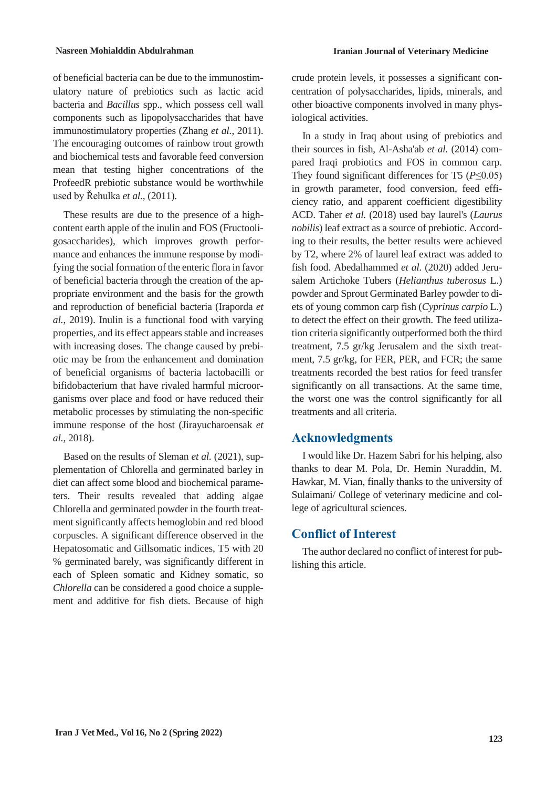of beneficial bacteria can be due to the immunostimulatory nature of prebiotics such as lactic acid bacteria and *Bacillus* spp., which possess cell wall components such as lipopolysaccharides that have immunostimulatory properties (Zhang *et al.*, 2011). The encouraging outcomes of rainbow trout growth and biochemical tests and favorable feed conversion mean that testing higher concentrations of the ProfeedR prebiotic substance would be worthwhile used by Řehulka *et al.*, (2011).

These results are due to the presence of a highcontent earth apple of the inulin and FOS (Fructooligosaccharides), which improves growth performance and enhances the immune response by modifying the social formation of the enteric flora in favor of beneficial bacteria through the creation of the appropriate environment and the basis for the growth and reproduction of beneficial bacteria (Iraporda *et al.*, 2019). Inulin is a functional food with varying properties, and its effect appears stable and increases with increasing doses. The change caused by prebiotic may be from the enhancement and domination of beneficial organisms of bacteria lactobacilli or bifidobacterium that have rivaled harmful microorganisms over place and food or have reduced their metabolic processes by stimulating the non-specific immune response of the host (Jirayucharoensak *et al.*, 2018).

Based on the results of Sleman *et al.* (2021), supplementation of Chlorella and germinated barley in diet can affect some blood and biochemical parameters. Their results revealed that adding algae Chlorella and germinated powder in the fourth treatment significantly affects hemoglobin and red blood corpuscles. A significant difference observed in the Hepatosomatic and Gillsomatic indices, T5 with 20 % germinated barely, was significantly different in each of Spleen somatic and Kidney somatic, so *Chlorella* can be considered a good choice a supplement and additive for fish diets. Because of high

crude protein levels, it possesses a significant concentration of polysaccharides, lipids, minerals, and other bioactive components involved in many physiological activities.

In a study in Iraq about using of prebiotics and their sources in fish, Al-Asha'ab *et al.* (2014) compared Iraqi probiotics and FOS in common carp. They found significant differences for T5 (*P*≤0.05) in growth parameter, food conversion, feed efficiency ratio, and apparent coefficient digestibility ACD. Taher *et al.* (2018) used bay laurel's (*Laurus nobilis*) leaf extract as a source of prebiotic. According to their results, the better results were achieved by T2, where 2% of laurel leaf extract was added to fish food. Abedalhammed *et al.* (2020) added Jerusalem Artichoke Tubers (*Helianthus tuberosus* L.) powder and Sprout Germinated Barley powder to diets of young common carp fish (*Cyprinus carpio* L.) to detect the effect on their growth. The feed utilization criteria significantly outperformed both the third treatment, 7.5 gr/kg Jerusalem and the sixth treatment, 7.5 gr/kg, for FER, PER, and FCR; the same treatments recorded the best ratios for feed transfer significantly on all transactions. At the same time, the worst one was the control significantly for all treatments and all criteria.

# **Acknowledgments**

I would like Dr. Hazem Sabri for his helping, also thanks to dear M. Pola, Dr. Hemin Nuraddin, M. Hawkar, M. Vian, finally thanks to the university of Sulaimani/ College of veterinary medicine and college of agricultural sciences.

# **Conflict of Interest**

The author declared no conflict of interest for publishing this article.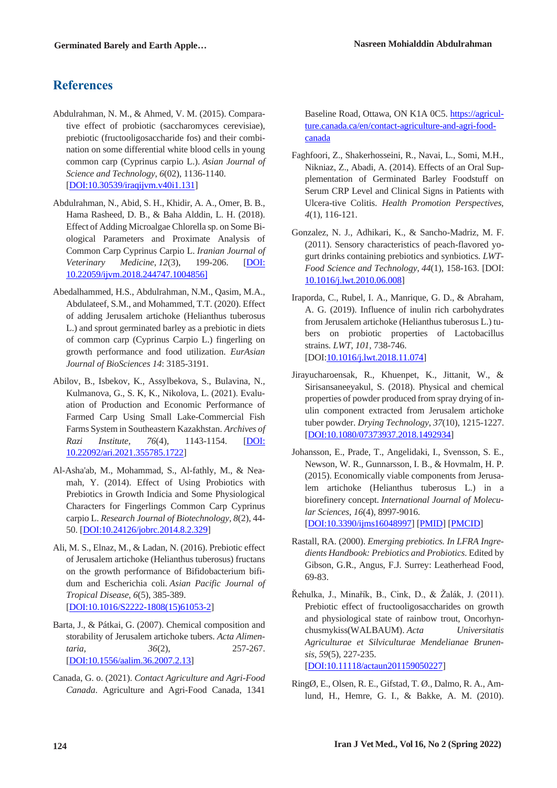# **References**

- Abdulrahman, N. M., & Ahmed, V. M. (2015). Comparative effect of probiotic (saccharomyces cerevisiae), prebiotic (fructooligosaccharide fos) and their combination on some differential white blood cells in young common carp (Cyprinus carpio L.). *Asian Journal of Science and Technology*, *6*(02), 1136-1140. [DOI:10.30539/iraqijvm.v40i1.131]
- Abdulrahman, N., Abid, S. H., Khidir, A. A., Omer, B. B., Hama Rasheed, D. B., & Baha Alddin, L. H. (2018). Effect of Adding Microalgae Chlorella sp. on Some Biological Parameters and Proximate Analysis of Common Carp Cyprinus Carpio L. *Iranian Journal of Veterinary Medicine*, *12*(3), 199-206. [DOI: 10.22059/ijvm.2018.244747.1004856]
- Abedalhammed, H.S., Abdulrahman, N.M., Qasim, M.A., Abdulateef, S.M., and Mohammed, T.T. (2020). Effect of adding Jerusalem artichoke (Helianthus tuberosus L.) and sprout germinated barley as a prebiotic in diets of common carp (Cyprinus Carpio L.) fingerling on growth performance and food utilization. *EurAsian Journal of BioSciences 14*: 3185-3191.
- Abilov, B., Isbekov, K., Assylbekova, S., Bulavina, N., Kulmanova, G., S. K, K., Nikolova, L. (2021). Evaluation of Production and Economic Performance of Farmed Carp Using Small Lake-Commercial Fish Farms System in Southeastern Kazakhstan. *Archives of Razi Institute, 76*(4), 1143-1154. [DOI: 10.22092/ari.2021.355785.1722]
- Al-Asha'ab, M., Mohammad, S., Al-fathly, M., & Neamah, Y. (2014). Effect of Using Probiotics with Prebiotics in Growth Indicia and Some Physiological Characters for Fingerlings Common Carp Cyprinus carpio L. *Research Journal of Biotechnology, 8*(2), 44- 50. [DOI:10.24126/jobrc.2014.8.2.329]
- Ali, M. S., Elnaz, M., & Ladan, N. (2016). Prebiotic effect of Jerusalem artichoke (Helianthus tuberosus) fructans on the growth performance of Bifidobacterium bifidum and Escherichia coli. *Asian Pacific Journal of Tropical Disease*, *6*(5), 385-389. [DOI:10.1016/S2222-1808(15)61053-2]
- Barta, J., & Pátkai, G. (2007). Chemical composition and storability of Jerusalem artichoke tubers. *Acta Alimentaria, 36*(2), 257-267. [DOI:10.1556/aalim.36.2007.2.13]
- Canada, G. o. (2021). *Contact Agriculture and Agri-Food Canada*. Agriculture and Agri-Food Canada, 1341

Baseline Road, Ottawa, ON K1A 0C5. https://agriculture.canada.ca/en/contact-agriculture-and-agri-foodcanada

- Faghfoori, Z., Shakerhosseini, R., Navai, L., Somi, M.H., Nikniaz, Z., Abadi, A. (2014). Effects of an Oral Supplementation of Germinated Barley Foodstuff on Serum CRP Level and Clinical Signs in Patients with Ulcera-tive Colitis. *Health Promotion Perspectives, 4*(1), 116-121.
- Gonzalez, N. J., Adhikari, K., & Sancho-Madriz, M. F. (2011). Sensory characteristics of peach-flavored yogurt drinks containing prebiotics and synbiotics. *LWT-Food Science and Technology*, *44*(1), 158-163. [DOI: 10.1016/j.lwt.2010.06.008]
- Iraporda, C., Rubel, I. A., Manrique, G. D., & Abraham, A. G. (2019). Influence of inulin rich carbohydrates from Jerusalem artichoke (Helianthus tuberosus L.) tubers on probiotic properties of Lactobacillus strains. *LWT*, *101*, 738-746. [DOI:10.1016/j.lwt.2018.11.074]
- Jirayucharoensak, R., Khuenpet, K., Jittanit, W., & Sirisansaneeyakul, S. (2018). Physical and chemical properties of powder produced from spray drying of inulin component extracted from Jerusalem artichoke tuber powder. *Drying Technology*, *37*(10), 1215-1227. [DOI:10.1080/07373937.2018.1492934]
- Johansson, E., Prade, T., Angelidaki, I., Svensson, S. E., Newson, W. R., Gunnarsson, I. B., & Hovmalm, H. P. (2015). Economically viable components from Jerusalem artichoke (Helianthus tuberosus L.) in a biorefinery concept. *International Journal of Molecular Sciences*, *16*(4), 8997-9016. [DOI:10.3390/ijms16048997] [PMID] [PMCID]
- Rastall, RA. (2000). *Emerging prebiotics. In LFRA Ingredients Handbook: Prebiotics and Probiotics*. Edited by Gibson, G.R., Angus, F.J. Surrey: Leatherhead Food, 69-83.
- Řehulka, J., Minařík, B., Cink, D., & Žalák, J. (2011). Prebiotic effect of fructooligosaccharides on growth and physiological state of rainbow trout, Oncorhynchusmykiss(WALBAUM). *Acta Universitatis Agriculturae et Silviculturae Mendelianae Brunensis*, *59*(5), 227-235. [DOI:10.11118/actaun201159050227]
- RingØ, E., Olsen, R. E., Gifstad, T. Ø., Dalmo, R. A., Amlund, H., Hemre, G. I., & Bakke, A. M. (2010).